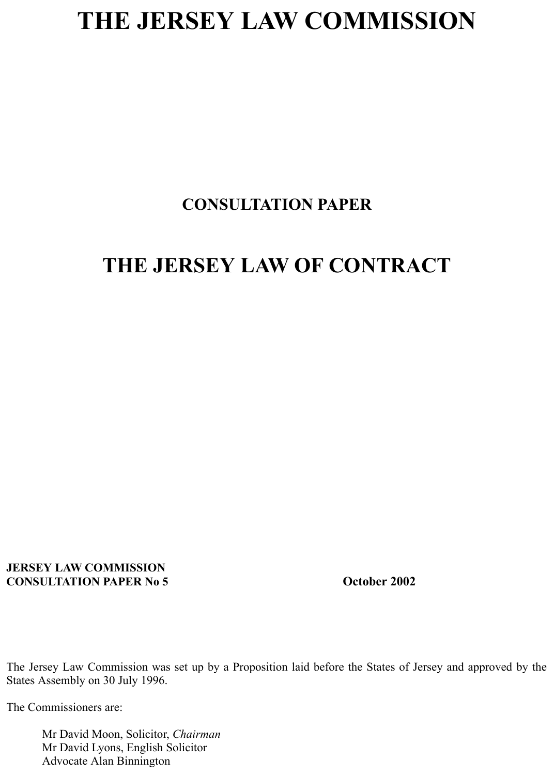## **THE JERSEY LAW COMMISSION**

## **CONSULTATION PAPER**

## **THE JERSEY LAW OF CONTRACT**

**JERSEY LAW COMMISSION CONSULTATION PAPER No 5 CONSULTATION PAPER No 5** 

The Jersey Law Commission was set up by a Proposition laid before the States of Jersey and approved by the States Assembly on 30 July 1996.

The Commissioners are:

 Mr David Moon, Solicitor, *Chairman* Mr David Lyons, English Solicitor Advocate Alan Binnington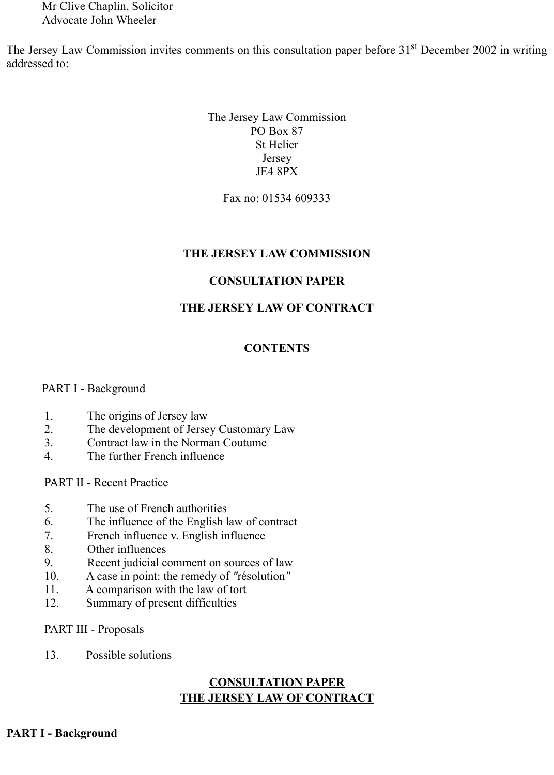Mr Clive Chaplin, Solicitor Advocate John Wheeler

The Jersey Law Commission invites comments on this consultation paper before 31<sup>st</sup> December 2002 in writing addressed to:

> The Jersey Law Commission PO Box 87 St Helier Jersey JE4 8PX

> > Fax no: 01534 609333

### **THE JERSEY LAW COMMISSION**

### **CONSULTATION PAPER**

### **THE JERSEY LAW OF CONTRACT**

### **CONTENTS**

### PART I - Background

- 1. The origins of Jersey law
- 2. The development of Jersey Customary Law
- 3. Contract law in the Norman Coutume
- 4. The further French influence

PART II - Recent Practice

- 5. The use of French authorities
- 6. The influence of the English law of contract
- 7. French influence v. English influence
- 8. Other influences
- 9. Recent judicial comment on sources of law
- 10. A case in point: the remedy of *"*résolution*"*
- 11. A comparison with the law of tort
- 12. Summary of present difficulties

PART III - Proposals

13. Possible solutions

## **CONSULTATION PAPER THE JERSEY LAW OF CONTRACT**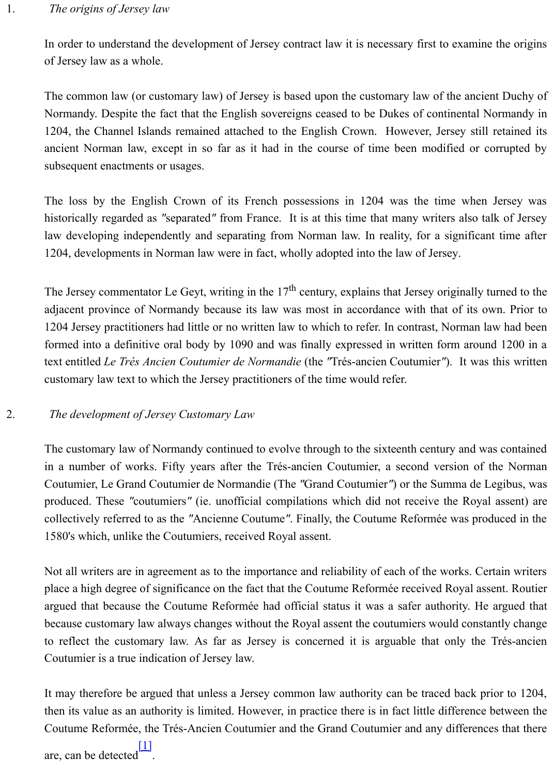ancient Norman law, except in so far as it had in the course of time been modified or subsequent enactments or usages.

The loss by the English Crown of its French possessions in 1204 was the time when historically regarded as "separated" from France. It is at this time that many writers also t law developing independently and separating from Norman law. In reality, for a significant 1204, developments in Norman law were in fact, wholly adopted into the law of Jersey.

The Jersey commentator Le Geyt, writing in the  $17<sup>th</sup>$  century, explains that Jersey originally adjacent province of Normandy because its law was most in accordance with that of its own. 1204 Jersey practitioners had little or no written law to which to refer. In contrast, Norman l formed into a definitive oral body by 1090 and was finally expressed in written form arou text entitled *Le Trés Ancien Coutumier de Normandie* (the "Trés-ancien Coutumier"). It was customary law text to which the Jersey practitioners of the time would refer.

## 2. *The development of Jersey Customary Law*

The customary law of Normandy continued to evolve through to the sixteenth century and w in a number of works. Fifty years after the Trés-ancien Coutumier, a second version of Coutumier, Le Grand Coutumier de Normandie (The "Grand Coutumier") or the Summa de produced. These "coutumiers" (ie. unofficial compilations which did not receive the Roya collectively referred to as the "Ancienne Coutume". Finally, the Coutume Reformée was pro 1580's which, unlike the Coutumiers, received Royal assent.

Not all writers are in agreement as to the importance and reliability of each of the works. Complace a high degree of significance on the fact that the Coutume Reformée received Royal as argued that because the Coutume Reformée had official status it was a safer authority. He because customary law always changes without the Royal assent the coutumiers would constantly to reflect the customary law. As far as Jersey is concerned it is arguable that only the Coutumier is a true indication of Jersey law.

It may therefore be argued that unless a Jersey common law authority can be traced back p then its value as an authority is limited. However, in practice there is in fact little difference Coutume Reformée, the Trés-Ancien Coutumier and the Grand Coutumier and any difference

are, can be detected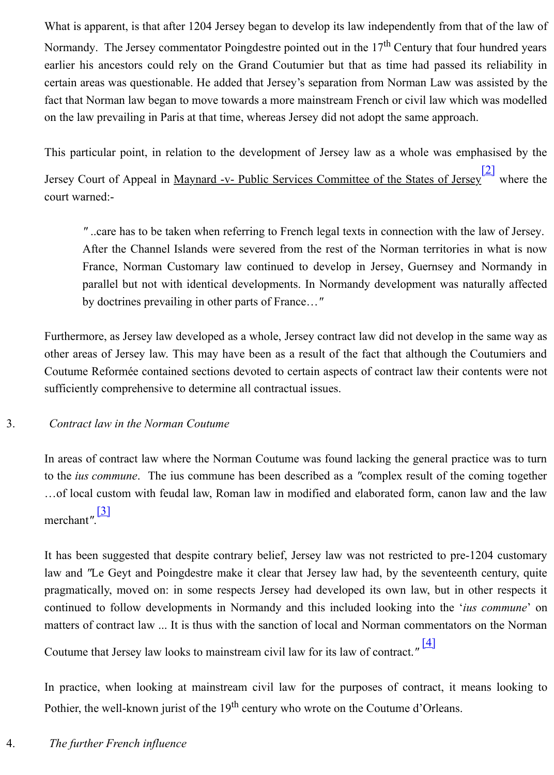This particular point, in relation to the development of Jersey law as a whole was empha Jersey Court of Appeal in Maynard -v- Public Services Committee of the States of Jersey<sup>[1]</sup> court warned:-

" ..care has to be taken when referring to French legal texts in connection with the la After the Channel Islands were severed from the rest of the Norman territories in France, Norman Customary law continued to develop in Jersey, Guernsey and N parallel but not with identical developments. In Normandy development was naturally by doctrines prevailing in other parts of France…*"*

Furthermore, as Jersey law developed as a whole, Jersey contract law did not develop in the other areas of Jersey law. This may have been as a result of the fact that although the Cou Coutume Reformée contained sections devoted to certain aspects of contract law their contents sufficiently comprehensive to determine all contractual issues.

## 3. *Contract law in the Norman Coutume*

In areas of contract law where the Norman Coutume was found lacking the general practice to the *ius commune*. The ius commune has been described as a "complex result of the con ...of local custom with feudal law, Roman law in modified and elaborated form, canon law merchant*"*. [3]

It has been suggested that despite contrary belief, Jersey law was not restricted to pre-120 law and *"Le Geyt and Poingdestre make it clear that Jersey law had, by the seventeenth c* pragmatically, moved on: in some respects Jersey had developed its own law, but in other continued to follow developments in Normandy and this included looking into the '*ius c* matters of contract law ... It is thus with the sanction of local and Norman commentators on

Coutume t[hat](http://www.lawcomm.gov.je/Contract.htm#_ftn3) Jersey law looks to mainstream civil law for its law of contract.*"*  [4]

In practice, when looking at mainstream civil law for the purposes of contract, it means Pothier, the well-known jurist of the 19<sup>th</sup> century who wrote on the Coutume d'Orleans.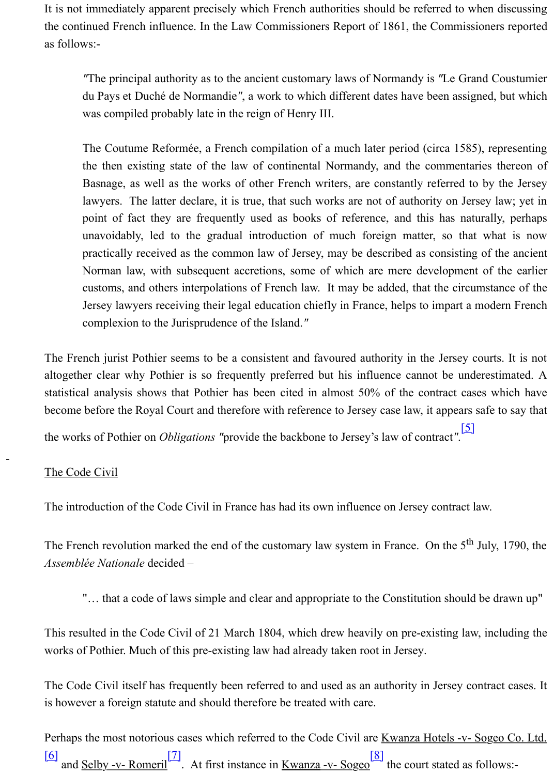The Coutume Reformée, a French compilation of a much later period (circa 1585), the then existing state of the law of continental Normandy, and the commentaries Basnage, as well as the works of other French writers, are constantly referred to b lawyers. The latter declare, it is true, that such works are not of authority on Jerse point of fact they are frequently used as books of reference, and this has naturally unavoidably, led to the gradual introduction of much foreign matter, so that v practically received as the common law of Jersey, may be described as consisting of Norman law, with subsequent accretions, some of which are mere development of customs, and others interpolations of French law. It may be added, that the circum Jersey lawyers receiving their legal education chiefly in France, helps to impart a modern complexion to the Jurisprudence of the Island.*"*

The French jurist Pothier seems to be a consistent and favoured authority in the Jersey court altogether clear why Pothier is so frequently preferred but his influence cannot be under statistical analysis shows that Pothier has been cited in almost 50% of the contract cases become before the Royal Court and therefore with reference to Jersey case law, it appears sa the works of Pothier on *Obligations "*provide the backbone to Jersey's law of contract*"*. [5]

## The Code Civil

The introduction of the Code Civil in France has had its own influence on Jersey contract law.

The French revolution marked the end of the customary law system in France. On the  $5<sup>th</sup>$  Ju *Assemblée Nationale* decided –

"... that a code of laws simple and clear and appropriate to the Constitution should b

This resulted in the Code Civil of 21 March 1804, which drew heavily on pre-existing law, works of Pothier. Much of this pre-existing law had already taken root in Jersey.

The Code Civil itself has frequently been referred to and used as an authority in Jersey contract cases. It is not all the Code Civil itself has frequently been referred to and used as an authority in Jersey cont is however a foreign statute and should therefore be treated with care.

Perhaps the most notorious cases which referred to the Code Civil are Kwanza Hotels -v- So.  $\frac{[6]}{[6]}$  and <u>Selby -v- Romeril</u><sup>[7]</sup>. At first instance in <u>Kwanza -v- Sogeo</u> the court stated as fo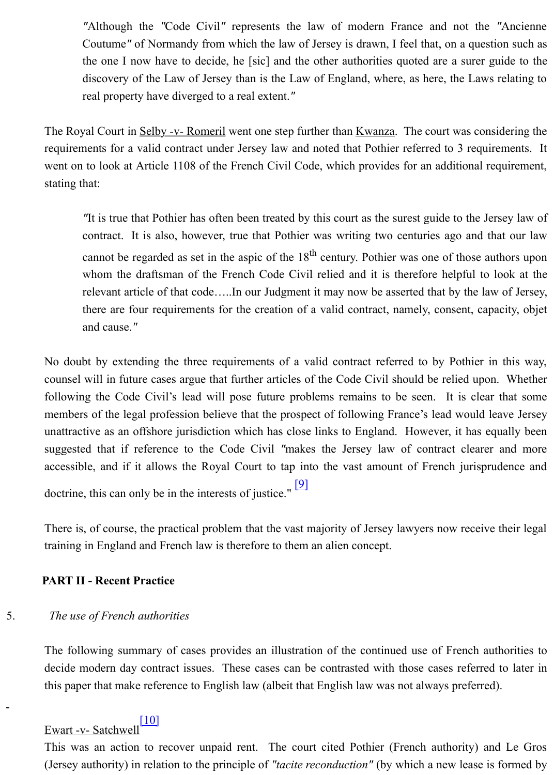requirements for a valid contract under Jersey law and noted that Pothier referred to 3 requ went on to look at Article 1108 of the French Civil Code, which provides for an additional stating that:

The is true that Pothier has often been treated by this court as the surest guide to the  $\overline{A}$ . contract. It is also, however, true that Pothier was writing two centuries ago and cannot be regarded as set in the aspic of the  $18<sup>th</sup>$  century. Pothier was one of those whom the draftsman of the French Code Civil relied and it is therefore helpful to relevant article of that code.....In our Judgment it may now be asserted that by the I there are four requirements for the creation of a valid contract, namely, consent, ca and cause.*"*

No doubt by extending the three requirements of a valid contract referred to by Pothier counsel will in future cases argue that further articles of the Code Civil should be relied up following the Code Civil's lead will pose future problems remains to be seen. It is cle members of the legal profession believe that the prospect of following France's lead would unattractive as an offshore jurisdiction which has close links to England. However, it has suggested that if reference to the Code Civil "makes the Jersey law of contract clearer accessible, and if it allows the Royal Court to tap into the vast amount of French jurisp doctrine, this can only be in the interests of justice."  $[9]$ 

There is, of course, the practical problem that the vast majority of Jersey lawyers now receive training in England and French law is therefore to them an alien concept.

### **PART II - Recent Practice**

### 5. *The use of French authorities*

The following summary of cases provides an illus[trati](http://www.lawcomm.gov.je/Contract.htm#_ftn9)on of the continued use of French and decide modern day contract issues. These cases can be contrasted with those cases referred this paper that make reference to English law (albeit that English law was not always preferred).

## Ewart -v- Satchwell<sup>[10]</sup>

This was an action to recover unpaid rent. The court cited Pothier (French authority) and Le Gross (Jersey authority) in relation to the principle of *"tacite reconduction"* (by which a new lease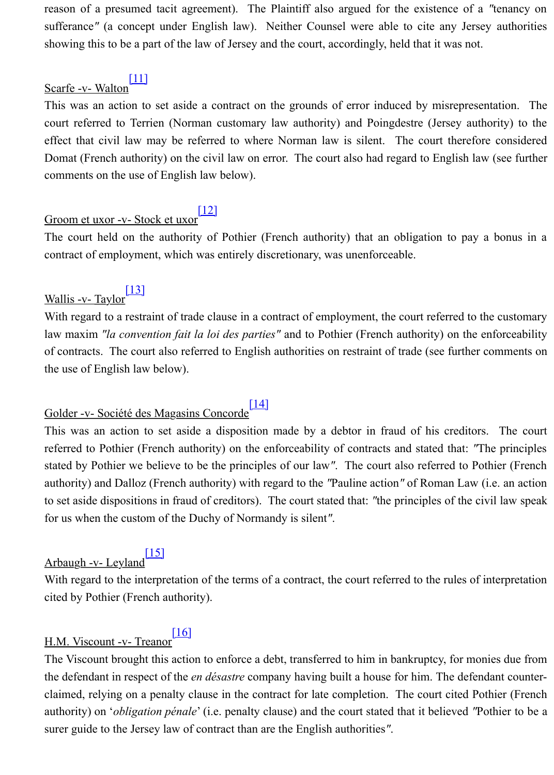Domat (French authority) on the civil law on error. The court also had regard to English lav comments on the use of English law below).

# Groom et uxor -v- Stock et uxor<sup>[12]</sup>

The court held [on th](http://www.lawcomm.gov.je/Contract.htm#_ftn11)e authority of Pothier (French authority) that an obligation to pay a contract of employment, which was entirely discretionary, was unenforceable.

# Wallis -v- Taylor $\frac{[13]}{[13]}$

With regard to a restraint of trade clause in a contract of employment, the court referred to the law maxim "la convention fait la loi des parties" and to Pothier (French authority) on the e of contracts. The court also ref[erred](http://www.lawcomm.gov.je/Contract.htm#_ftn12) to English authorities on restraint of trade (see further on the use of English law below).

# Golder -v- Société des Magasins Concorde<sup>[14]</sup>

This was an action to set aside a disposition made by a debtor in fraud of his creditors referred to Pothi[er \(F](http://www.lawcomm.gov.je/Contract.htm#_ftn13)rench authority) on the enforceability of contracts and stated that: "The principles" stated by Pothier we believe to be the principles of our law". The court also referred to Pothier (Fig. 2) authority) and Dalloz (French authority) with regard to the *"Pauline action"* of Roman Law (i.e. to set aside dispositions in fraud of creditors). The court stated that: "the principles of the cifor us when the custom of the Duchy of Normandy is silent*"*.

## Arbaugh -v- Leyland<sup>[15]</sup>

With regard to the interpretation of the terms of a contract, the court referred to the rules of interpretation cited by Pothier (French authority).

## [16]<br>H.M. Viscount -v- Treanor

The Viscount brought this action to enforce a debt, transferred to him in bankruptcy, for mor the defendant in respect of the *en désastre* company having built a house for him. The defenclaimed, relying on a penalty clause in the contract for late completion. The court cited Po authority) on '*obliga[tion](http://www.lawcomm.gov.je/Contract.htm#_ftn15) pénale*' (i.e. penalty clause) and the court stated that it believed "Pothier to be a

surer guide to the Jersey law of contract than are the English authorities*"*.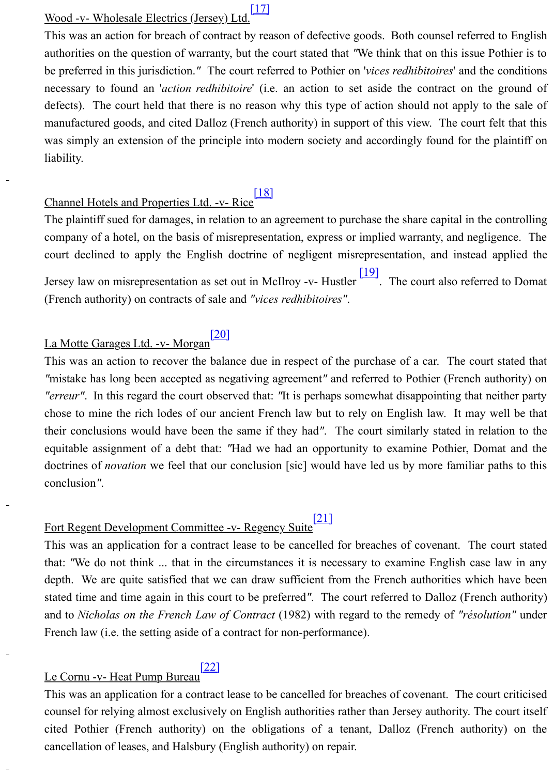liability.

## Channel Hotels and Properties Ltd. -v- Rice<sup>[18]</sup>

The plaintiff sued for damages, in relation to an agreement to purchase the share capital in the controller company of a hotel, on the basis of misrepresentation, express or implied warranty, and negligence. court declined to apply the English doctrine of negligent misrepresentation, and instead Jersey law on misrepresentation as set out in McIlroy -v- Hustler  $\frac{19}{2}$ . The court also referred (French authority) on contracts of sale and *"vices redhibitoires"*.

## La Motte Garages Ltd. -v- Morgan<sup>[20]</sup>

This was an action to recover the balance [due i](http://www.lawcomm.gov.je/Contract.htm#_ftn18)n respect of the purchase of a car. The court *"*mistake has long been accepted as negativing agreement" and referred to Pothier (French *"erreur"*. In this regard the court observed that: "It is perhaps somewhat disappointing that chose to mine the rich lodes of our ancient French law but to rely on English law. It may their conclusions would have been the same if they had". The [court](http://www.lawcomm.gov.je/Contract.htm#_ftn19) similarly stated in re equitable assignment of a debt that: "Had we had an opportunity to examine Pothier, Domat and the the doctrines of *novation* we feel that our conclusion [sic] would have led us by more familiar conclusion*"*.

# Fort Regent Development Committee -v- Regency Suite<sup>[21]</sup>

This was an application for a contract lease to be cancelled for breaches of covenant. The that: "We do not think ... that in the circumstances it is necessary to examine English cas depth. We are quite satisfied that we can draw sufficient from the French authorities which stated time and time again in this court to be preferred<sup>"</sup>. The court referred to Dalloz (Fren and to *Nicholas on the French Law of Contract* (1982) with regard to the remedy of "résolution" French law (i.e. the setting aside of a contract for non-performance).

## Le Cornu -v- Heat Pump Bureau

This was an application for a contract lease to be cancelled for breaches of covenant. The court counsel for relying almost exclusively on English authorities rather than Jersey authority. The court is exclusively on English authorities rather than Jersey authority. cited Pothier (French authority) on the obligations of a tenant, Dalloz (French authority) cancellation of leases, and Halsbury (English authority) on repair.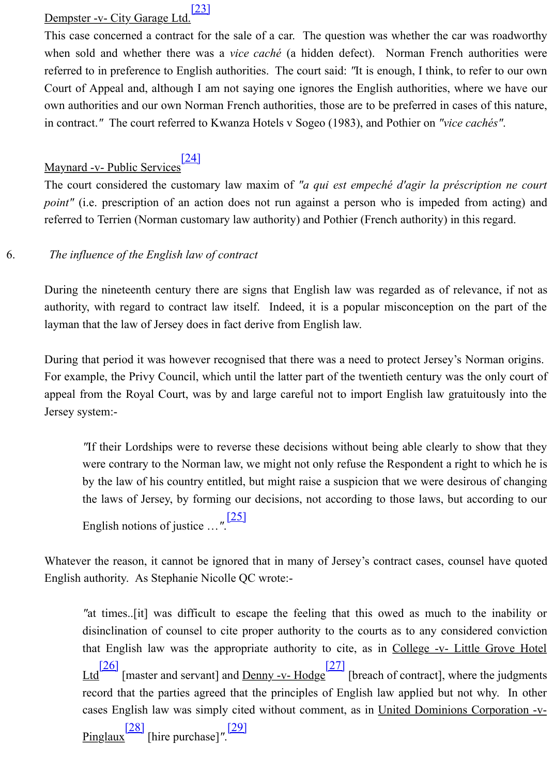## Maynard -v- Public Services<sup>[[24\]](http://www.lawcomm.gov.je/Contract.htm#_ftn23)</sup>

The court considered the customary law maxim of "*a qui est empeché d'agir la préscripi point"* (i.e. prescription of an action does not run against a person who is impeded from referred to Terrien (Norman customary law authority) and Pothier (French authority) in this regarded.

## 6. *The influence of the English law of contract*

During the nineteenth century there are signs that English law was regarded as of relevan authority, with regard to co[ntrac](http://www.lawcomm.gov.je/Contract.htm#_ftn24)t law itself. Indeed, it is a popular misconception on the layman that the law of Jersey does in fact derive from English law.

During that period it was however recognised that there was a need to protect Jersey's Norman original original original  $\alpha$ For example, the Privy Council, which until the latter part of the twentieth century was the appeal from the Royal Court, was by and large careful not to import English law gratuito Jersey system:-

*"If their Lordships were to reverse these decisions without being able clearly to sh* were contrary to the Norman law, we might not only refuse the Respondent a right to by the law of his country entitled, but might raise a suspicion that we were desirous the laws of Jersey, by forming our decisions, not according to those laws, but according to those laws, but according to those laws, but according to those laws, but according to those laws, but according to the laws. English notions of justice …*"*. [25]

Whatever the reason, it cannot be ignored that in many of Jersey's contract cases, counsel English authority. As Stephanie Nicolle QC wrote:-

*"at times...*[it] was difficult to escape the feeling that this owed as much to the disinclination of counsel to cite proper authority to the courts as to any considered that English law was the appropriate authority to cite, as in College  $-v$ - Little  $\text{Ltd}$  [26] [master and servant] [and D](http://www.lawcomm.gov.je/Contract.htm#_ftn25)enny -v- Hodge<sup>[27]</sup> [breach of contract], where the judgements of  $\frac{[27]}{[26]}$ record that the parties agreed that the principles of English law applied but not w cases English law was simply cited without comment, as in United Dominions Co

Pinglaux[28] [hire purchase]*"*. [29]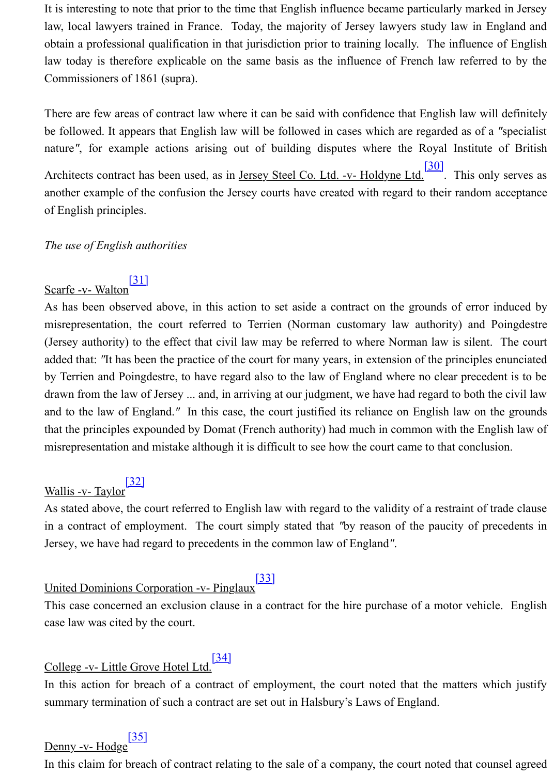nature<sup>"</sup>, for example actions arising out of building disputes where the Royal Institut Architects contract has been used, as in <u>Jersey Steel Co. Ltd. -v- Holdyne Ltd.</u><sup>[30]</sup>. This only serves as a serves as a server as a serve as a server as a server as a server as a server as a server as a server as a serv another example of the confusion the Jersey courts have created with regard to their random of English principles.

## *The use of English authorities*

## Scarfe -v- Walton<sup>[31]</sup>

As has been observed above, in this action to set aside a contract on the grounds of error misrepresentation, the court referred to Terrien (Norman customary law a[uthor](http://www.lawcomm.gov.je/Contract.htm#_ftn30)ity) and (Jersey authority) to the effect that civil law may be referred to where Norman law is silent. added that: *"It* has been the practice of the court for many years, in extension of the principle by Terrien and Poingdestre, to have regard also to the law of England where no clear precedent drawn from the law of Jersey ... and, in arriving at our judgment, we have had regard to both and to the law of England.<sup>"</sup> In this case, the court justified its reliance on English law on that the principle[s exp](http://www.lawcomm.gov.je/Contract.htm#_ftn31)ounded by Domat (French authority) had much in common with the E misrepresentation and mistake although it is difficult to see how the court came to that conclusion.

## Wallis -v- Taylor<sup>[32]</sup>

As stated above, the court referred to English law with regard to the validity of a restraint of in a contract of employment. The court simply stated that "by reason of the paucity of p Jersey, we have had regard to precedents in the common law of England*"*.

# United Dominions Corporation -v- Pinglaux<sup>[33]</sup>

This case concerned an exclusion clause in a contract for the hire purchase of a motor vehi case law was cit[ed by](http://www.lawcomm.gov.je/Contract.htm#_ftn32) the court.

# College -v- Little Grove Hotel Ltd.<sup>[34]</sup>

In this action for breach of a contract of employment, the court noted that the matters which is action for breach of a contract of employment, the court noted that the matters summary termination of such a contract are set out in Halsbury's Laws of England.

# Denny -v- Hodge<sup>[35]</sup>

In this claim for breach of contract relating to the sale of a company, the court noted that counsel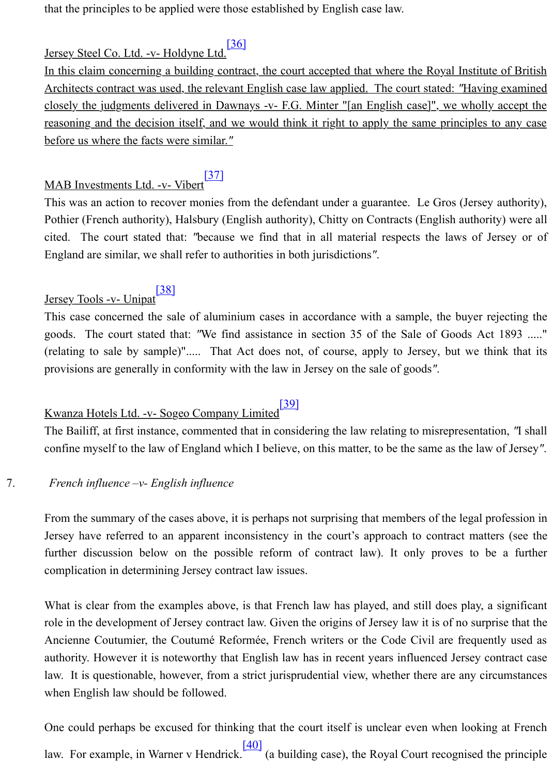## MAB Investments Ltd. -v- Vibert<sup>[37]</sup>

This was an action to recover monies [from](http://www.lawcomm.gov.je/Contract.htm#_ftn36) the defendant under a guarantee. Le Gros (Jerse Pothier (French authority), Halsbury (English authority), Chitty on Contracts (English authority). cited. The court stated that: *"because we find that in all material respects the laws of* England are similar, we shall refer to authorities in both jurisdictions*"*.

Jersey Tools -v- Unipat<sup>[38]</sup>

This case concerned the sale of aluminium cases in accordance with a sample, the buyer goods. The court stated that: "[We f](http://www.lawcomm.gov.je/Contract.htm#_ftn37)ind assistance in section 35 of the Sale of Goods A (relating to sale by sample)"..... That Act does not, of course, apply to Jersey, but we provisions are generally in conformity with the law in Jersey on the sale of goods*"*.

# Kwanza Hotels Ltd. -v- Sogeo Company Limited<sup>[39]</sup>

The Bailiff, at first instance, commented that in considering the law relating to misrepresentation, <sup>2</sup> confine myself to the l[aw of](http://www.lawcomm.gov.je/Contract.htm#_ftn38) England which I believe, on this matter, to be the same as the la

## 7. *French influence –v- English influence*

From the summary of the cases above, it is perhaps not surprising that members of the legal Jersey have referred to an apparent inconsistency in the court's approach to contract mat further discussion below on the possible refo[rm o](http://www.lawcomm.gov.je/Contract.htm#_ftn39)f contract law). It only proves to complication in determining Jersey contract law issues.

What is clear from the examples above, is that French law has played, and still does play, role in the development of Jersey contract law. Given the origins of Jersey law it is of no surprise that the that the that the that the that the that the that the that the that the that the that the that the that the that Ancienne Coutumier, the Coutumé Reformée, French writers or the Code Civil are frequently used as a set as a set as  $\alpha$ authority. However it is noteworthy that English law has in recent years influenced Jersey law. It is questionable, however, from a strict jurisprudential view, whether there are any c when English law should be followed.

One could perhaps be excused for thinking that the court itself is unclear even when looki law. For example, in Warner v Hendrick.  $\frac{[40]}{[40]}$  (a building case), the Royal Court recognised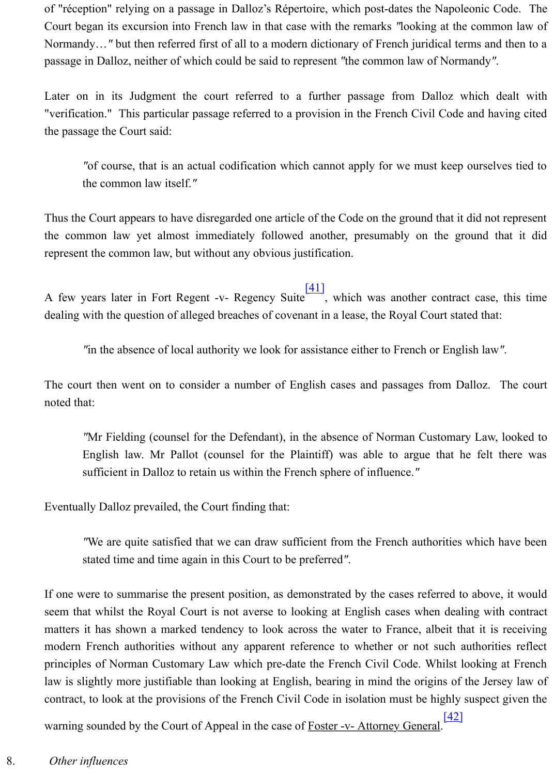"of course, that is an actual codification which cannot apply for we must keep ours the common law itself.*"*

Thus the Court appears to have disregarded one article of the Code on the ground that it did the common law yet almost immediately followed another, presumably on the ground represent the common law, but without any obvious justification.

A few years later in Fort Regent -v- Regency Suite  $\frac{[41]}{[41]}$ , which was another contract ca dealing with the question of alleged breaches of covenant in a lease, the Royal Court stated that

*"in the absence of local authority we look for assistance either to French or English l* 

The court then went on to consider a number of English cases and passages from Dalloz. noted that:

"Mr Fielding (counsel for the Defendant), in [the a](http://www.lawcomm.gov.je/Contract.htm#_ftn41)bsence of Norman Customary La English law. Mr Pallot (counsel for the Plaintiff) was able to argue that he fe sufficient in Dalloz to retain us within the French sphere of influence.*"*

Eventually Dalloz prevailed, the Court finding that:

*"We are quite satisfied that we can draw sufficient from the French authorities which have been approximated have been approximated which the rench authorities which have a metal of the set of the set of the set of the se* stated time and time again in this Court to be preferred*"*.

If one were to summarise the present position, as demonstrated by the cases referred to above. seem that whilst the Royal Court is not averse to looking at English cases when dealing matters it has shown a marked tendency to look across the water to France, albeit that it modern French authorities without any apparent reference to whether or not such authorities principles of Norman Customary Law which pre-date the French Civil Code. Whilst looki law is slightly more justifiable than looking at English, bearing in mind the origins of the. contract, to look at the provisions of the French Civil Code in isolation must be highly susp

warning sounded by the Court of Appeal in the case of Foster -v- Attorney General. [42]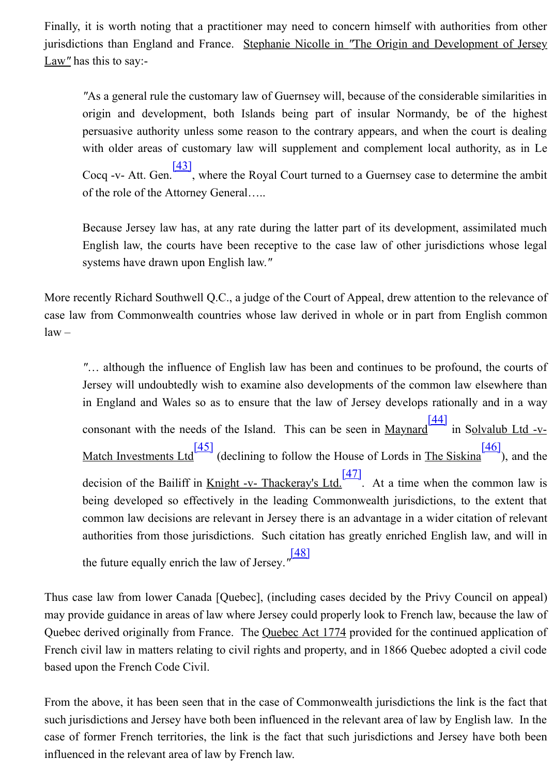with older areas of customary law will supplement and complement local author Cocq -v- Att. Gen.<sup>[43]</sup>, where the Royal Court turned to a Guernsey case to determ of the role of the Attorney General…..

Because Jersey law has, at any rate during the latter part of its development, assin English law, the courts have been receptive to the case law of other jurisdictions systems have drawn upon English law.*"*

More recently Richard Southwell Q.C., a judge of the Court of Appeal, drew attention to the case law from Commonw[ealth](http://www.lawcomm.gov.je/Contract.htm#_ftn43) countries whose law derived in whole or in part from Eng law –

"... although the influence of English law has been and continues to be profound, Jersey will undoubtedly wish to examine also developments of the common law ela in England and Wales so as to ensure that the law of Jersey develops rationally a consonant with the needs of the Island. This can be seen in  $\frac{\text{Maynard}}{\text{max of the } 1}$  in Solv Match Investments Ltd<sup>[45]</sup> (declining to follow the House of Lords in The Siskina<sup>[46]</sup> decision of the Bailiff in <u>Knight -v- Thackeray's Ltd.</u>  $\frac{[47]}{[47]}$ . At a time when the common law is not alw is not alw is not at the common law is not at the common law is not at the common law is not at the common being developed so effectively in the leading Commonwealth jurisdictions, to the common law decisions are relevant in Jersey there is an advantage in a wider citation authorities from those jurisdictions. Such citation has greatly enriched English law the future equally enrich the law of Jersey.*"* [48]

Thus case law from lower Ca[nada](http://www.lawcomm.gov.je/Contract.htm#_ftn45) [Quebec], (including cases decided by the Privy Counc may provide guidance in areas of law where Jersey could properly look to French law, becaus Quebec derived originally from France. The Quebec Act 177[4 pro](http://www.lawcomm.gov.je/Contract.htm#_ftn47)vided for the continued a French civil law in matters relating to civil rights and property, and in 1866 Quebec adopted based upon the French Code Civil.

From the above, it has been seen that in the case o[f Com](http://www.lawcomm.gov.je/Contract.htm#_ftn48)monwealth jurisdictions the link is such jurisdictions and Jersey have both been influenced in the relevant area of law by English case of former French territories, the link is the fact that such jurisdictions and Jersey have influenced in the relevant area of law by French law.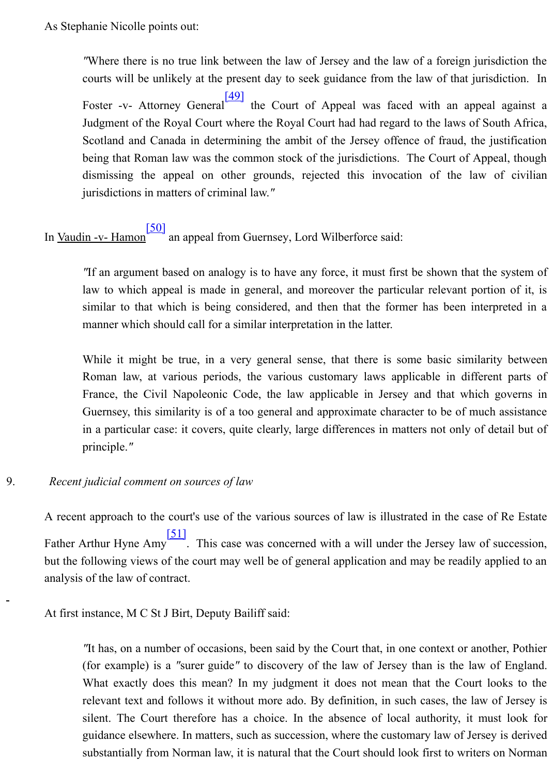being that Roman law was the common stock of the jurisdictions. The Court of Ap dismissing the appeal on other grounds, rejected this invocation of the law jurisdictions in matters of criminal law.*"*

In <u>Vaudin -v- Hamon</u><sup>[50]</sup> an appeal f[rom G](http://www.lawcomm.gov.je/Contract.htm#_ftn49)uernsey, Lord Wilberforce said:

*"If an argument based on analogy is to have any force, it must first be shown that the system of the system of*  $\frac{1}{2}$ law to which appeal is made in general, and moreover the particular relevant portion of it, is it also it. it similar to that which is being considered, and then that the former has been interpreted in a step in a step in a step in a step in a step in a step in a step in a step in a step in a step in a step in a step in a step in manner which should call for a similar interpretation in the latter.

While it might be true, in a very general sense, that there is some basic similar Roman law, [at v](http://www.lawcomm.gov.je/Contract.htm#_ftn50)arious periods, the various customary laws applicable in different parts of France, the Civil Napoleonic Code, the law applicable in Jersey and that which Guernsey, this similarity is of a too general and approximate character to be of much in a particular case: it covers, quite clearly, large differences in matters not only of principle.*"*

### 9. *Recent judicial comment on sources of law*

A recent approach to the court's use of the various sources of law is illustrated in the case Father Arthur Hyne Amy<sup>[51]</sup>. This case was concerned with a will under the Jersey law of succession, such a succession, such a will under the Jersey law of such a will under the Jersey law of such a succession, such a su but the following views of the court may well be of general application and may be readily analysis of the law of contract.

At first instance, M C St J Birt, Deputy Bailiff said:

*"It has, on a number of occasions, been said by the Court that, in one context or ano* (for example) is a "surer guide" to discovery of the law of Jersey than is the law What exactly do[es th](http://www.lawcomm.gov.je/Contract.htm#_ftn51)is mean? In my judgment it does not mean that the Court relevant text and follows it without more ado. By definition, in such cases, the law silent. The Court therefore has a choice. In the absence of local authority, it m guidance elsewhere. In matters, such as succession, where the customary law of Jers substantially from Norman law, it is natural that the Court should look first to writer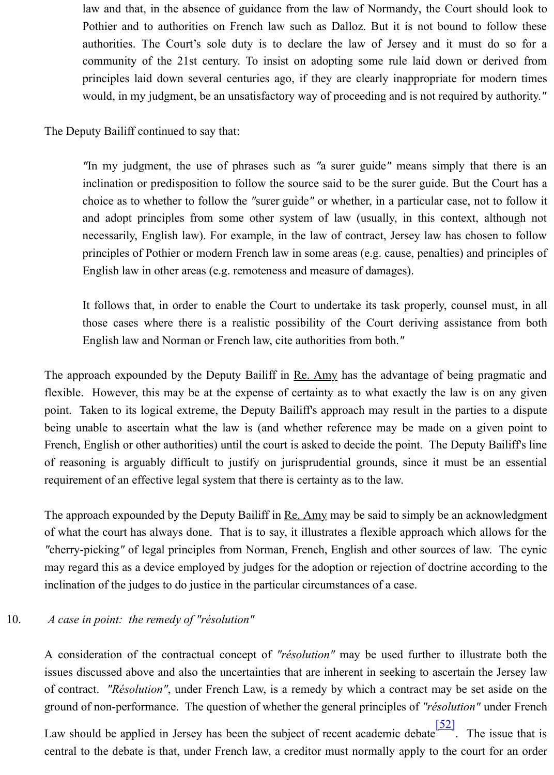*"In my judgment, the use of phrases such as "a surer guide" means simply that* inclination or predisposition to follow the source said to be the surer guide. But the choice as to whether to follow the "surer guide" or whether, in a particular case, no and adopt principles from some other system of law (usually, in this context, necessarily, English law). For example, in the law of contract, Jersey law has chos principles of Pothier or modern French law in some areas (e.g. cause, penalties) and English law in other areas (e.g. remoteness and measure of damages).

It follows that, in order to enable the Court to undertake its task properly, counsel those cases where there is a realistic possibility of the Court deriving assistance English law and Norman or French law, cite authorities from both.*"*

The approach expounded by the Deputy Bailiff in <u>Re. Amy</u> has the advantage of being pragmatic and the and the and the and the and the and the approach exponent and the approach exponent and the approach exponent and the a flexible. However, this may be at the expense of certainty as to what exactly the law is on any given point. Taken to its logical extreme, the Deputy Bailiff's approach may result in the parties being unable to ascertain what the law is (and whether reference may be made on a gi French, English or other authorities) until the court is asked to decide the point. The Deputy of reasoning is arguably difficult to justify on jurisprudential grounds, since it must be requirement of an effective legal system that there is certainty as to the law.

The approach expounded by the Deputy Bailiff in <u>Re. Amy</u> may be said to simply be an acknowledgement of what the court has always done. That is to say, it illustrates a flexible approach which a *"*cherry-picking" of legal principles from Norman, French, English and other sources of lav may regard this as a device employed by judges for the adoption or rejection of doctrine according to the to the to the to the to the to the to the to the to the to the to the to the to the to the to the to the to the to t inclination of the judges to do justice in the particular circumstances of a case.

10. *A case in point: the remedy of "résolution"*

A consideration of the contractual concept of "résolution" may be used further to illusti issues discussed above and also the uncertainties that are inherent in seeking to ascertain the  $\frac{1}{2}$ of contract. *"Résolution"*, under French Law, is a remedy by which a contract may be set ground of non-performance. The question of whether the general principles of "résolution" is

Law should be applied in Jersey has been the subject of recent academic debate  $\frac{1}{2}$ . The central to the debate is that, under French law, a creditor must normally apply to the court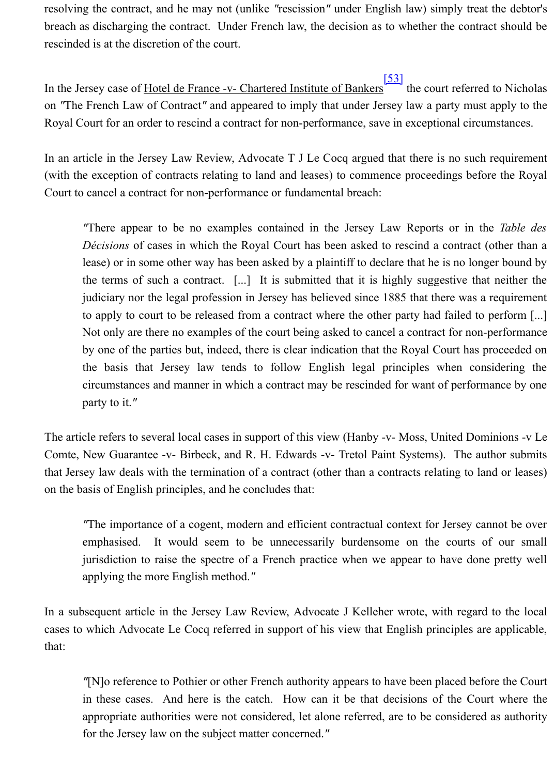In an article in the Jersey Law Review, Advocate T J Le Cocq argued that there is no such (with the exception of contracts relating to land and leases) to commence proceedings before Court to cancel a contract for non-performance or fundamental breach:

*"There appear to be no examples contained in the Jersey [Law](http://www.lawcomm.gov.je/Contract.htm#_ftn53) Reports or in the Décisions* of cases in which the Royal Court has been asked to rescind a contract lease) or in some other way has been asked by a plaintiff to declare that he is no long the terms of such a contract.  $[\dots]$  It is submitted that it is highly suggestive that judiciary nor the legal profession in Jersey has believed since 1885 that there was a to apply to court to be released from a contract where the other party had failed to Not only are there no examples of the court being asked to cancel a contract for nonby one of the parties but, indeed, there is clear indication that the Royal Court has provided only that the Royal Court has prothe basis that Jersey law tends to follow English legal principles when con circumstances and manner in which a contract may be rescinded for want of perform party to it.*"*

The article refers to several local cases in support of this view (Hanby -v- Moss, United Don Comte, New Guarantee -v- Birbeck, and R. H. Edwards -v- Tretol Paint Systems). The au that Jersey law deals with the termination of a contract (other than a contracts relating to la on the basis of English principles, and he concludes that:

*"The importance of a cogent, modern and efficient contractual context for Jersey cannot be over the over*emphasised. It would seem to be unnecessarily burdensome on the courts of jurisdiction to raise the spectre of a French practice when we appear to have don applying the more English method.*"*

In a subsequent article in the Jersey Law Review, Advocate J Kelleher wrote, with regard cases to which Advocate Le Cocq referred in support of his view that English principles are that:

*"*[N]o reference to Pothier or other French authority appears to have been placed before the Court in these cases. And here is the catch. How can it be that decisions of the Court appropriate authorities were not considered, let alone referred, are to be considered for the Jersey law on the subject matter concerned.*"*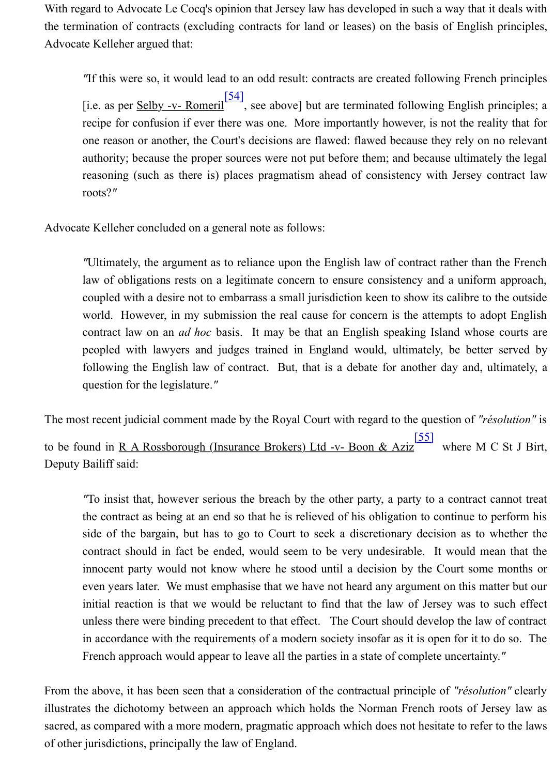authority; because the proper sources were not put before them; and because ultimately reasoning (such as there is) places pragmatism ahead of consistency with Jersey roots?*"*

Advocate Kelleher concluded on a general note as follows:

*"*Ultimately, the argument as [to re](http://www.lawcomm.gov.je/Contract.htm#_ftn54)liance upon the English law of contract rather than law of obligations rests on a legitimate concern to ensure consistency and a uniform coupled with a desire not to embarrass a small jurisdiction keen to show its calibre t world. However, in my submission the real cause for concern is the attempts to a contract law on an *ad hoc* basis. It may be that an English speaking Island who peopled with lawyers and judges trained in England would, ultimately, be better following the English law of contract. But, that is a debate for another day and, question for the legislature.*"*

The most recent judicial comment made by the Royal Court with regard to the question of "*i* to be found in <u>R A Rossborough (Insurance Brokers) Ltd -v- Boon & Aziz</u> where M Deputy Bailiff said:

*"To insist that, however serious the breach by the other party, a party to a contract* the contract as being at an end so that he is relieved of his obligation to continue to side of the bargain, but has to go to Court to seek a discretionary decision as to contract should in fact be ended, would seem to be very undesirable. It would near innocent party would not know where he stood until a decision by the Court som even years later. We must emphasise that we have not heard any arg[umen](http://www.lawcomm.gov.je/Contract.htm#_ftn55)t on this m initial reaction is that we would be reluctant to find that the law of Jersey was to unless there were binding precedent to that effect. The Court should develop the law in accordance with the requirements of a modern society insofar as it is open for it to French approach would appear to leave all the parties in a state of complete uncertainty.

From the above, it has been seen that a consideration of the contractual principle of "résolution" illustrates the dichotomy between an approach which holds the Norman French roots of J sacred, as compared with a more modern, pragmatic approach which does not hesitate to reference of other jurisdictions, principally the law of England.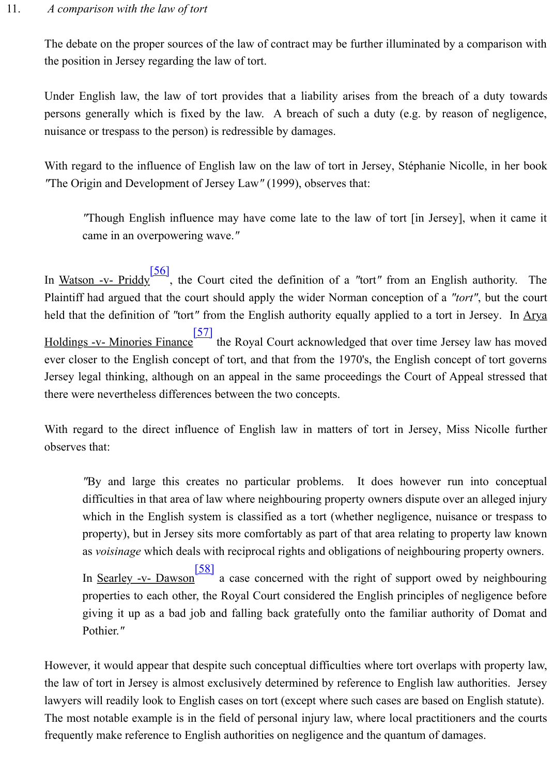With regard to the influence of English law on the law of tort in Jersey, Stéphanie Nicolle *"*The Origin and Development of Jersey Law*"* (1999), observes that:

"Though English influence may have come late to the law of tort [in Jersey], when came in an overpowering wave.*"*

In <u>Watson -v- Priddy<sup>[56]</sup></u>, the Court cited the definition of a "tort" from an English authority. Plaintiff had argued that the court should apply the wider Norman conception of a "tort", held that the definition of "tort" from the English authority equally applied to a tort in Jers

Holdings -v- Minories Finance<sup>[57]</sup> the Royal Court acknowledged that over time Jersey law ever closer to the English concept of tort, and that from the 1970's, the English concept of Jersey legal thinking, although on an appeal in the same proceedings the Court of Appeal there were nevertheless differences between the two concepts.

With regard to the d[irect](http://www.lawcomm.gov.je/Contract.htm#_ftn56) influence of English law in matters of tort in Jersey, Miss Ni observes that:

"By and large this c[reate](http://www.lawcomm.gov.je/Contract.htm#_ftn57)s no particular problems. It does however run into difficulties in that area of law where neighbouring property owners dispute over an a which in the English system is classified as a tort (whether negligence, nuisance or property), but in Jersey sits more comfortably as part of that area relating to propert as *voisinage* which deals with reciprocal rights and obligations of neighbouring prop

In <u>Searley -v- Dawson</u> a case concerned with the right of support owed by negative. properties to each other, the Royal Court considered the English principles of negli giving it up as a bad job and falling back gratefully onto the familiar authority of Pothier.*"*

However, it would appear that despite such conceptual difficulties where tort overlaps with the law of tort in Jersey is almost exclusively determined by reference to English law author lawyers will readily look to English cases on tort (except where such cases are based on Eng The most notable example is i[n the](http://www.lawcomm.gov.je/Contract.htm#_ftn58) field of personal injury law, where local practitioners and the courts of the courts of personal injury law, where local practitioners and the courts of the courts of the courts of the co frequently make reference to English authorities on negligence and the quantum of damages.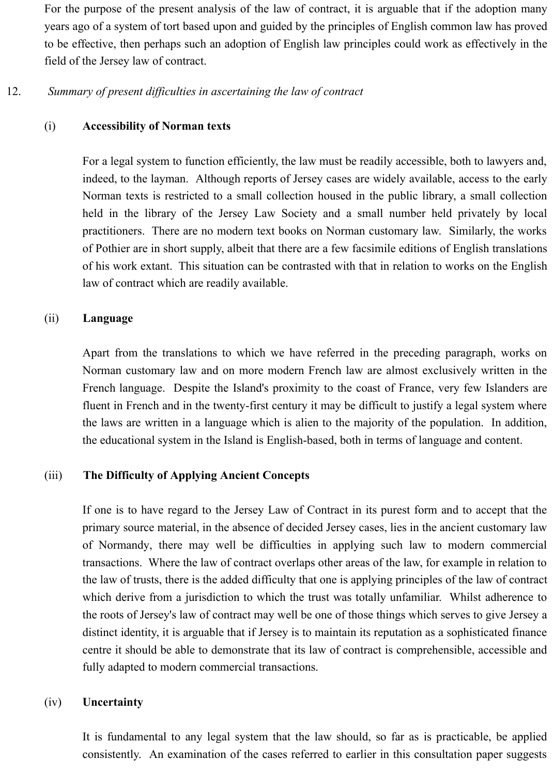For the purpose of the present analysis of the law of contract, it is arguable that if the adoption many years ago of a system of tort based upon and guided by the principles of English common law has proved to be effective, then perhaps such an adoption of English law principles could work as effectively in the field of the Jersey law of contract.

## 12. *Summary of present difficulties in ascertaining the law of contract*

## (i) **Accessibility of Norman texts**

For a legal system to function efficiently, the law must be readily accessible, both to lawyers and, indeed, to the layman. Although reports of Jersey cases are widely available, access to the early Norman texts is restricted to a small collection housed in the public library, a small collection held in the library of the Jersey Law Society and a small number held privately by local practitioners. There are no modern text books on Norman customary law. Similarly, the works of Pothier are in short supply, albeit that there are a few facsimile editions of English translations of his work extant. This situation can be contrasted with that in relation to works on the English law of contract which are readily available.

## (ii) **Language**

Apart from the translations to which we have referred in the preceding paragraph, works on Norman customary law and on more modern French law are almost exclusively written in the French language. Despite the Island's proximity to the coast of France, very few Islanders are fluent in French and in the twenty-first century it may be difficult to justify a legal system where the laws are written in a language which is alien to the majority of the population. In addition, the educational system in the Island is English-based, both in terms of language and content.

## (iii) **The Difficulty of Applying Ancient Concepts**

If one is to have regard to the Jersey Law of Contract in its purest form and to accept that the primary source material, in the absence of decided Jersey cases, lies in the ancient customary law of Normandy, there may well be difficulties in applying such law to modern commercial transactions. Where the law of contract overlaps other areas of the law, for example in relation to the law of trusts, there is the added difficulty that one is applying principles of the law of contract which derive from a jurisdiction to which the trust was totally unfamiliar. Whilst adherence to the roots of Jersey's law of contract may well be one of those things which serves to give Jersey a distinct identity, it is arguable that if Jersey is to maintain its reputation as a sophisticated finance centre it should be able to demonstrate that its law of contract is comprehensible, accessible and fully adapted to modern commercial transactions.

## (iv) **Uncertainty**

It is fundamental to any legal system that the law should, so far as is practicable, be applied consistently. An examination of the cases referred to earlier in this consultation paper suggests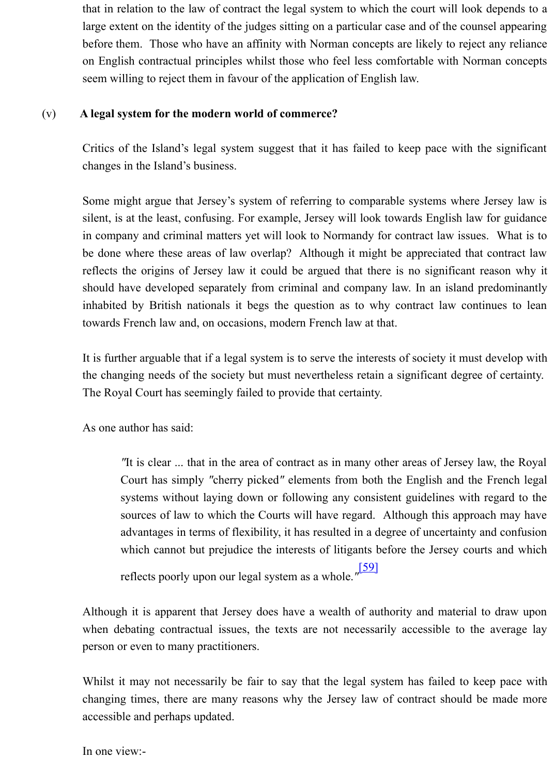Critics of the Island's legal system suggest that it has failed to keep pace with th changes in the Island's business.

Some might argue that Jersey's system of referring to comparable systems where. silent, is at the least, confusing. For example, Jersey will look towards English law in company and criminal matters yet will look to Normandy for contract law issues. be done where these areas of law overlap? Although it might be appreciated that reflects the origins of Jersey law it could be argued that there is no significant re should have developed separately from criminal and company law. In an island predominantly inhabited by British nationals it begs the question as to why contract law continues towards French law and, on occasions, modern French law at that.

It is further arguable that if a legal system is to serve the interests of society it must the changing needs of the society but must nevertheless retain a significant degree The Royal Court has seemingly failed to provide that certainty.

As one author has said:

"It is clear ... that in the area of contract as in many other areas of Jersey la Court has simply "cherry picked" elements from both the English and the systems without laying down or following any consistent guidelines with sources of law to which the Courts will have regard. Although this approach may have regard. advantages in terms of flexibility, it has resulted in a degree of uncertainty a which cannot but prejudice the interests of litigants before the Jersey court reflects poorly upon our legal system as a whole.*"* [59]

Although it is apparent that Jersey does have a wealth of authority and material t when debating contractual issues, the texts are not necessarily accessible to the person or even to many practitioners.

Whilst it may not necessarily be fair to say that the legal system has failed to ke changing times, there are many reasons why the Jersey law of contract should be accessible and perhaps updated.

In one view:-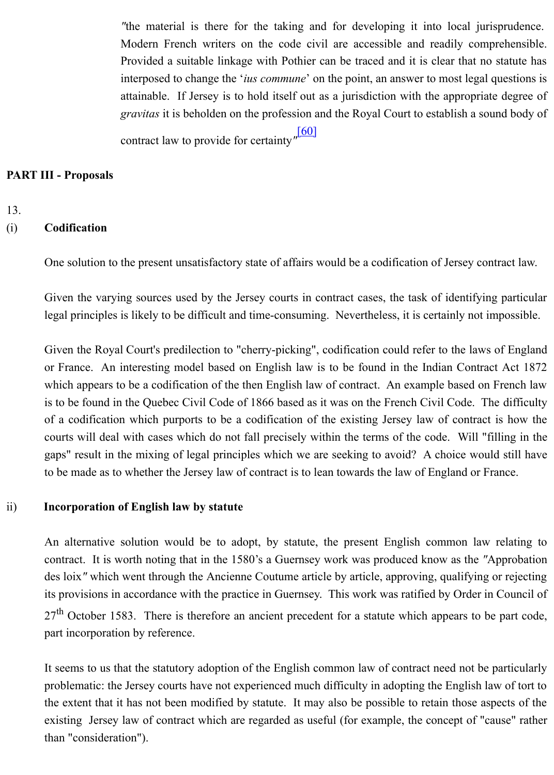### **PART III - Proposals**

### 13.

### (i) **Codification**

One solution to the present unsatisfactory state of affairs would be a codification of Jersey contract law.

Given the varying sources used by the Jersey court[s in c](http://www.lawcomm.gov.je/Contract.htm#_ftn60)ontract cases, the task of identifying legal principles is likely to be difficult and time-consuming. Nevertheless, it is certainly not

Given the Royal Court's predilection to "cherry-picking", codification could refer to the law or France. An interesting model based on English law is to be found in the Indian Contra which appears to be a codification of the then English law of contract. An example based on is to be found in the Quebec Civil Code of 1866 based as it was on the French Civil Code. The difference of  $\alpha$ of a codification which purports to be a codification of the existing Jersey law of contract courts will deal with cases which do not fall precisely within the terms of the code. Will ' gaps" result in the mixing of legal principles which we are seeking to avoid? A choice wo to be made as to whether the Jersey law of contract is to lean towards the law of England or I

### ii) **Incorporation of English law by statute**

An alternative solution would be to adopt, by statute, the present English common lav contract. It is worth noting that in the 1580's a Guernsey work was produced know as the ' des loix" which went through the Ancienne Coutume article by article, approving, qualifying its provisions in accordance with the practice in Guernsey. This work was ratified by Order in  $27<sup>th</sup>$  October 1583. There is therefore an ancient precedent for a statute which appears to part incorporation by reference.

It seems to us that the statutory adoption of the English common law of contract need not be problematic: the Jersey courts have not experienced much difficulty in adopting the English the extent that it has not been modified by statute. It may also be possible to retain those a existing Jersey law of contract which are regarded as useful (for example, the concept of " than "consideration").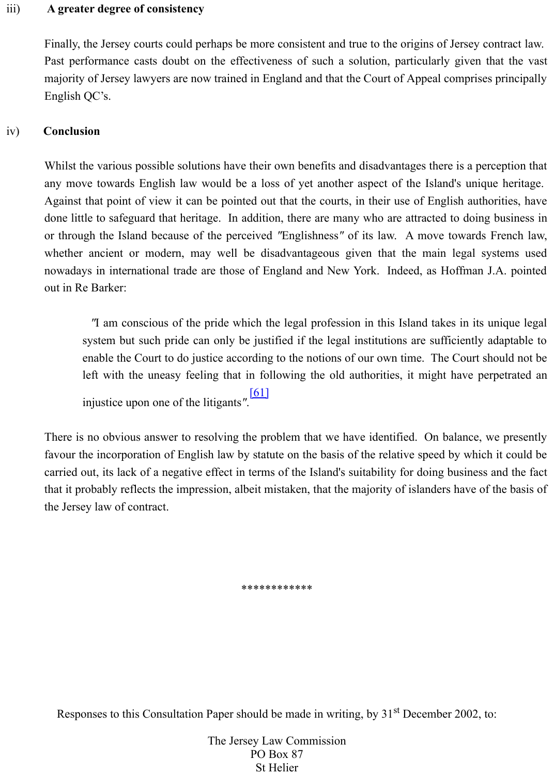Whilst the various possible solutions have their own benefits and disadvantages there is a perception that the various possible. any move towards English law would be a loss of yet another aspect of the Island's unique Against that point of view it can be pointed out that the courts, in their use of English authority done little to safeguard that heritage. In addition, there are many who are attracted to doing or through the Island because of the perceived "Englishness" of its law. A move towards whether ancient or modern, may well be disadvantageous given that the main legal s nowadays in international trade are those of England and New York. Indeed, as Hoffman out in Re Barker:

*"I am conscious of the pride which the legal profession in this Island takes in its* system but such pride can only be justified if the legal institutions are sufficiently enable the Court to do justice according to the notions of our own time. The Court should left with the uneasy feeling that in following the old authorities, it might have perpetrated and injustice upon one of the litigants*"*. [61]

There is no obvious answer to resolving the problem that we have identified. On balance, favour the incorporation of English law by statute on the basis of the relative speed by which carried out, its lack of a negative effect in terms of the Island's suitability for doing business that it probably reflects the impression, albeit mistaken, that the majority of islanders have of the Jersey law of contract.

\*\*\*\*\*\*\*\*\*\*\*\*

Responses to this Consultation Paper should be made in writing, by 31<sup>st</sup> December 2002,

The Jersey Law Commission PO Box 87 St Helier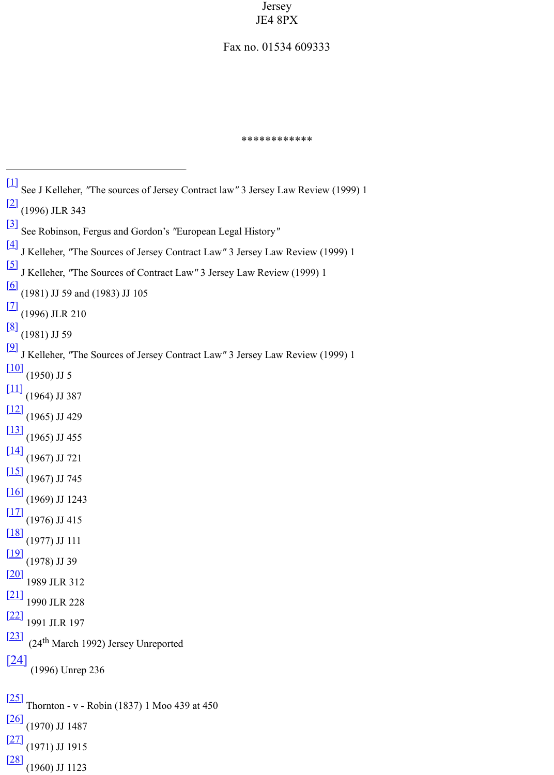```
[1] See J Kelleher, "The sources of Jersey Contract law" 3 Jersey Law Review (1999) 1
[2] (1996) JLR 343
[3] See Robinson, Fergus and Gordon's "European Legal History"
[4] J Kelleher, "The Sources of Jersey Contract Law" 3 Jersey Law Review (1999) 1
[5] J Kelleher, "The Sources of Contract Law" 3 Jersey Law Review (1999) 1
\boxed{6} (1981) JJ 59 and (1983) JJ 105
\boxed{[7]} (1996) JLR 210
\frac{[8]}{[1981]} JJ 59
[9] J Kelleher, "The Sources of Jersey Contract Law" 3 Jersey Law Review (1999) 1
[10]}{[1950]} JJ 5
[11]}{[1964]} JJ 387
[12]}{[1965]} JJ 429
[13]}{[1965]} JJ 455
[14]}{[1967)} JJ 721
[15]}{[1967]} JJ 745
[16]}{[1969]} JJ 1243
\frac{[17]}{[1976)} JJ 415
\frac{18}{(1977)} JJ 111
\frac{19}{(1978)} JJ 39
[20] 1989 JLR 312
[21] 1990 JLR 228
[22] 1991 JLR 197
[23] (24<sup>th</sup> March 1992) Jersey Unreported
[24] (1996) Unrep 236
[25] Thornton - v - Robin (1837) 1 Moo 439 at 450
\frac{[26]}{[1970]} JJ 1487
[27] (1971) JJ 1915
[28] (1960) JJ 1123
```